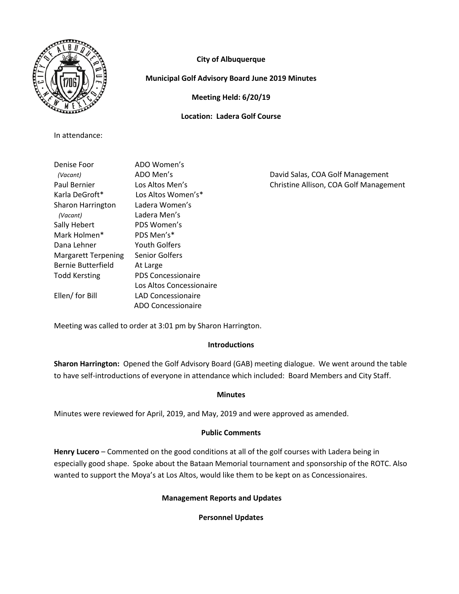

# **City of Albuquerque**

## **Municipal Golf Advisory Board June 2019 Minutes**

**Meeting Held: 6/20/19**

**Location: Ladera Golf Course**

In attendance:

| Denise Foor              | ADO Women's               |                                        |
|--------------------------|---------------------------|----------------------------------------|
| (Vacant)                 | ADO Men's                 | David Salas, COA Golf Management       |
| Paul Bernier             | Los Altos Men's           | Christine Allison, COA Golf Management |
| Karla DeGroft*           | Los Altos Women's*        |                                        |
| <b>Sharon Harrington</b> | Ladera Women's            |                                        |
| (Vacant)                 | Ladera Men's              |                                        |
| Sally Hebert             | PDS Women's               |                                        |
| Mark Holmen*             | PDS Men's*                |                                        |
| Dana Lehner              | Youth Golfers             |                                        |
| Margarett Terpening      | <b>Senior Golfers</b>     |                                        |
| Bernie Butterfield       | At Large                  |                                        |
| <b>Todd Kersting</b>     | <b>PDS Concessionaire</b> |                                        |
|                          | Los Altos Concessionaire  |                                        |
| Ellen/ for Bill          | <b>LAD Concessionaire</b> |                                        |
|                          | <b>ADO Concessionaire</b> |                                        |

Meeting was called to order at 3:01 pm by Sharon Harrington.

#### **Introductions**

**Sharon Harrington:** Opened the Golf Advisory Board (GAB) meeting dialogue. We went around the table to have self-introductions of everyone in attendance which included: Board Members and City Staff.

#### **Minutes**

Minutes were reviewed for April, 2019, and May, 2019 and were approved as amended.

#### **Public Comments**

**Henry Lucero** – Commented on the good conditions at all of the golf courses with Ladera being in especially good shape. Spoke about the Bataan Memorial tournament and sponsorship of the ROTC. Also wanted to support the Moya's at Los Altos, would like them to be kept on as Concessionaires.

#### **Management Reports and Updates**

#### **Personnel Updates**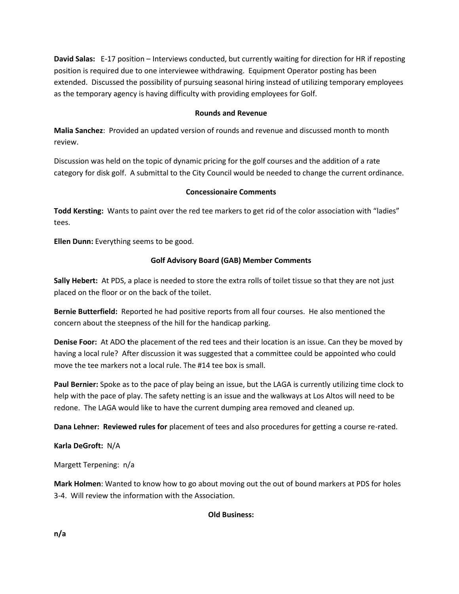**David Salas:** E-17 position – Interviews conducted, but currently waiting for direction for HR if reposting position is required due to one interviewee withdrawing. Equipment Operator posting has been extended. Discussed the possibility of pursuing seasonal hiring instead of utilizing temporary employees as the temporary agency is having difficulty with providing employees for Golf.

### **Rounds and Revenue**

**Malia Sanchez**: Provided an updated version of rounds and revenue and discussed month to month review.

Discussion was held on the topic of dynamic pricing for the golf courses and the addition of a rate category for disk golf. A submittal to the City Council would be needed to change the current ordinance.

## **Concessionaire Comments**

**Todd Kersting:** Wants to paint over the red tee markers to get rid of the color association with "ladies" tees.

**Ellen Dunn:** Everything seems to be good.

### **Golf Advisory Board (GAB) Member Comments**

**Sally Hebert:** At PDS, a place is needed to store the extra rolls of toilet tissue so that they are not just placed on the floor or on the back of the toilet.

**Bernie Butterfield:** Reported he had positive reports from all four courses. He also mentioned the concern about the steepness of the hill for the handicap parking.

**Denise Foor:** At ADO **t**he placement of the red tees and their location is an issue. Can they be moved by having a local rule? After discussion it was suggested that a committee could be appointed who could move the tee markers not a local rule. The #14 tee box is small.

**Paul Bernier:** Spoke as to the pace of play being an issue, but the LAGA is currently utilizing time clock to help with the pace of play. The safety netting is an issue and the walkways at Los Altos will need to be redone. The LAGA would like to have the current dumping area removed and cleaned up.

**Dana Lehner: Reviewed rules for** placement of tees and also procedures for getting a course re-rated.

#### **Karla DeGroft:** N/A

Margett Terpening: n/a

**Mark Holmen**: Wanted to know how to go about moving out the out of bound markers at PDS for holes 3-4. Will review the information with the Association.

**Old Business:**

**n/a**